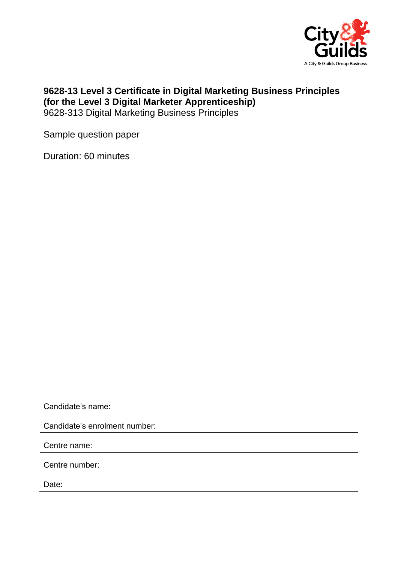

## **9628-13 Level 3 Certificate in Digital Marketing Business Principles (for the Level 3 Digital Marketer Apprenticeship)** 9628-313 Digital Marketing Business Principles

Sample question paper

Duration: 60 minutes

Candidate's name:

Candidate's enrolment number:

Centre name:

Centre number:

Date: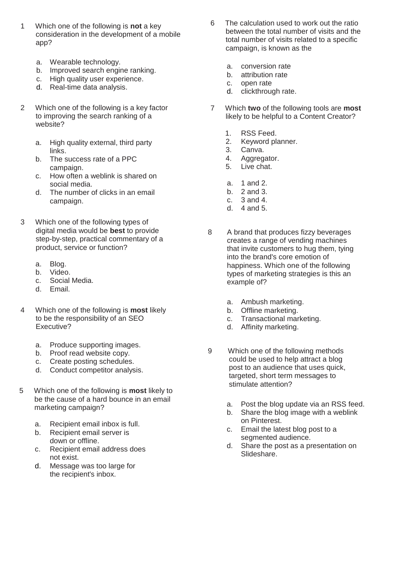- 1 Which one of the following is **not** a key consideration in the development of a mobile app?
	- a. Wearable technology.
	- b. Improved search engine ranking.
	- c. High quality user experience.
	- d. Real-time data analysis.
- 2 Which one of the following is a key factor to improving the search ranking of a website?
	- a. High quality external, third party links.
	- b. The success rate of a PPC campaign.
	- c. How often a weblink is shared on social media.
	- d. The number of clicks in an email campaign.
- 3 Which one of the following types of digital media would be **best** to provide step-by-step, practical commentary of a product, service or function?
	- a. Blog.
	- b. Video.
	- c. Social Media.
	- d. Email.
- 4 Which one of the following is **most** likely to be the responsibility of an SEO Executive?
	- a. Produce supporting images.
	- b. Proof read website copy.
	- c. Create posting schedules.
	- d. Conduct competitor analysis.
- 5 Which one of the following is **most** likely to be the cause of a hard bounce in an email marketing campaign?
	- a. Recipient email inbox is full.
	- b. Recipient email server is down or offline.
	- c. Recipient email address does not exist.
	- d. Message was too large for the recipient's inbox.
- 6 The calculation used to work out the ratio between the total number of visits and the total number of visits related to a specific campaign, is known as the
	- a. conversion rate<br>b. attribution rate
	- attribution rate
	- c. open rate
	- d. clickthrough rate.
- 7 Which **two** of the following tools are **most** likely to be helpful to a Content Creator?
	- 1. RSS Feed.
	- 2. Keyword planner.
	- 3. Canva.<br>4. Aggrega
	- 4. Aggregator.
	- 5. Live chat.
	- a. 1 and 2.
	- b. 2 and 3.
	- c. 3 and 4.
	- d. 4 and 5.
- 8 A brand that produces fizzy beverages creates a range of vending machines that invite customers to hug them, tying into the brand's core emotion of happiness. Which one of the following types of marketing strategies is this an example of?
	- a. Ambush marketing.
	- b. Offline marketing.
	- c. Transactional marketing.
	- d. Affinity marketing.
- 9 Which one of the following methods could be used to help attract a blog post to an audience that uses quick, targeted, short term messages to stimulate attention?
	- a. Post the blog update via an RSS feed.
	- b. Share the blog image with a weblink on Pinterest.
	- c. Email the latest blog post to a segmented audience.
	- d. Share the post as a presentation on Slideshare.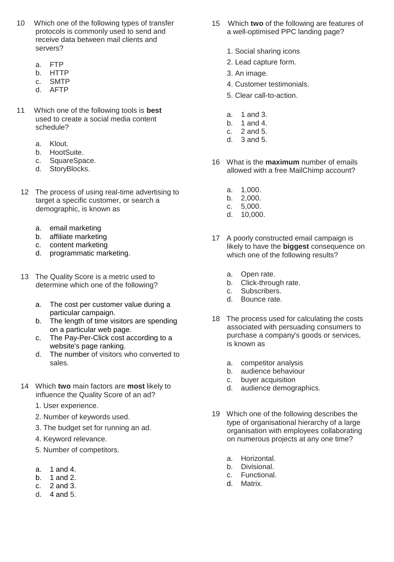- 10 Which one of the following types of transfer protocols is commonly used to send and receive data between mail clients and servers?
	- a. FTP
	- b. HTTP
	- c. SMTP
	- d. AFTP
- 11 Which one of the following tools is **best** used to create a social media content schedule?
	- a. Klout.
	- b. HootSuite.
	- c. SquareSpace.
	- d. StoryBlocks.
	- 12 The process of using real-time advertising to target a specific customer, or search a demographic, is known as
		- a. email marketing
		- b. affiliate marketing
		- c. content marketing
		- d. programmatic marketing.
- 13 The Quality Score is a metric used to determine which one of the following?
	- a. The cost per customer value during a particular campaign.
	- b. The length of time visitors are spending on a particular web page.
	- c. The Pay-Per-Click cost according to a website's page ranking.
	- d. The number of visitors who converted to sales.
- 14 Which **two** main factors are **most** likely to influence the Quality Score of an ad?
	- 1. User experience.
	- 2. Number of keywords used.
	- 3. The budget set for running an ad.
	- 4. Keyword relevance.
	- 5. Number of competitors.
	- a. 1 and 4.
	- b. 1 and 2.
	- c. 2 and 3.
	- d. 4 and 5.
- 15 Which **two** of the following are features of a well-optimised PPC landing page?
	- 1. Social sharing icons
	- 2. Lead capture form.
	- 3. An image.
	- 4. Customer testimonials.
	- 5. Clear call-to-action.
	- a. 1 and 3.
	- b. 1 and 4.
	- c. 2 and 5.
	- d. 3 and 5.
- 16 What is the **maximum** number of emails allowed with a free MailChimp account?
	-
	- a. 1,000. b. 2,000.
	- c. 5,000.
	- d. 10,000.
- 17 A poorly constructed email campaign is likely to have the **biggest** consequence on which one of the following results?
	- a. Open rate.
	- b. Click-through rate.
	- c. Subscribers.<br>d. Bounce rate
	- Bounce rate.
- 18 The process used for calculating the costs associated with persuading consumers to purchase a company's goods or services, is known as
	- a. competitor analysis
	- b. audience behaviour
	- c. buyer acquisition
	- d. audience demographics.
- 19 Which one of the following describes the type of organisational hierarchy of a large organisation with employees collaborating on numerous projects at any one time?
	- a. Horizontal.
	-
	- b. Divisional.<br>c. Functional c. Functional.<br>d. Matrix.
	- Matrix.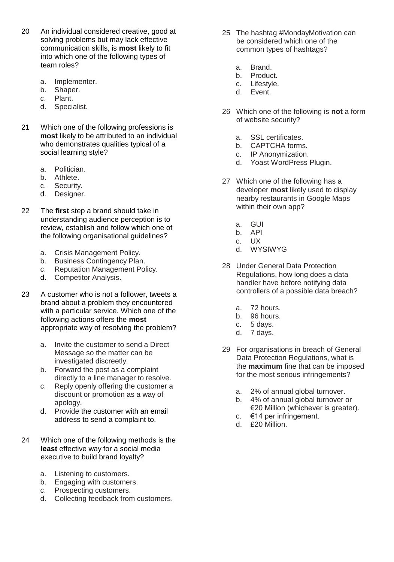- 20 An individual considered creative, good at solving problems but may lack effective communication skills, is **most** likely to fit into which one of the following types of team roles?
	- a. Implementer.
	- b. Shaper.
	- c. Plant.
	- d. Specialist.
- 21 Which one of the following professions is **most** likely to be attributed to an individual who demonstrates qualities typical of a social learning style?
	- a. Politician.
	- b. Athlete.
	- c. Security.
	- d. Designer.
- 22 The **first** step a brand should take in understanding audience perception is to review, establish and follow which one of the following organisational guidelines?
	- a. Crisis Management Policy.
	- b. Business Contingency Plan.<br>c. Reputation Management Pol
	- Reputation Management Policy.
	- d. Competitor Analysis.
- 23 A customer who is not a follower, tweets a brand about a problem they encountered with a particular service. Which one of the following actions offers the **most** appropriate way of resolving the problem?
	- a. Invite the customer to send a Direct Message so the matter can be investigated discreetly.
	- b. Forward the post as a complaint directly to a line manager to resolve.
	- c. Reply openly offering the customer a discount or promotion as a way of apology.
	- d. Provide the customer with an email address to send a complaint to.
- 24 Which one of the following methods is the **least** effective way for a social media executive to build brand loyalty?
	- a. Listening to customers.
	- b. Engaging with customers.<br>c. Prospecting customers.
	- Prospecting customers.
	- d. Collecting feedback from customers.
- 25 The hashtag #MondayMotivation can be considered which one of the common types of hashtags?
	- a. Brand.
	- b. Product.
	- c. Lifestyle.
	- d. Event.
- 26 Which one of the following is **not** a form of website security?
	- a. SSL certificates.<br>b. CAPTCHA forms
	- CAPTCHA forms.
	- c. IP Anonymization.
	- d. Yoast WordPress Plugin.
- 27 Which one of the following has a developer **most** likely used to display nearby restaurants in Google Maps within their own app?
	- a. GUI
	- b. API
	- c. UX
	- d. WYSIWYG
- 28 Under General Data Protection Regulations, how long does a data handler have before notifying data controllers of a possible data breach?
	- a. 72 hours.
	- b. 96 hours.
	- c. 5 days.
	- d. 7 days.
- 29 For organisations in breach of General Data Protection Regulations, what is the **maximum** fine that can be imposed for the most serious infringements?
	- a. 2% of annual global turnover.
	- b. 4% of annual global turnover or €20 Million (whichever is greater).
	- c. €14 per infringement.
	- d. £20 Million.